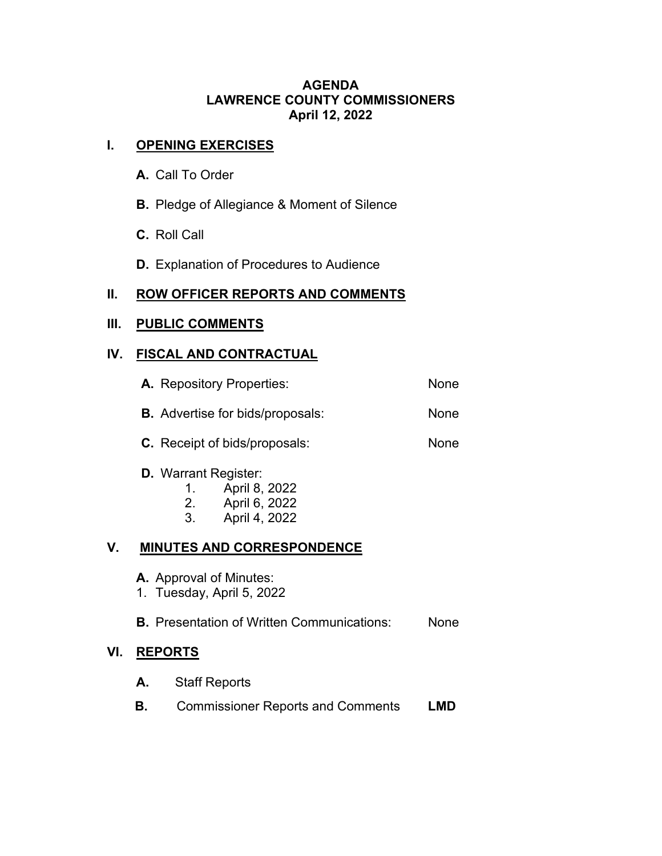#### **AGENDA LAWRENCE COUNTY COMMISSIONERS April 12, 2022**

# **I. OPENING EXERCISES**

- **A.** Call To Order
- **B.** Pledge of Allegiance & Moment of Silence
- **C.** Roll Call
- **D.** Explanation of Procedures to Audience

## **II. ROW OFFICER REPORTS AND COMMENTS**

## **III. PUBLIC COMMENTS**

## **IV. FISCAL AND CONTRACTUAL**

|    | A. Repository Properties:                                                                                                                         | None |
|----|---------------------------------------------------------------------------------------------------------------------------------------------------|------|
|    | <b>B.</b> Advertise for bids/proposals:                                                                                                           | None |
|    | <b>C.</b> Receipt of bids/proposals:                                                                                                              | None |
| V. | <b>D.</b> Warrant Register:<br>April 8, 2022<br>1.<br>2.<br>April 6, 2022<br>3 <sub>1</sub><br>April 4, 2022<br><b>MINUTES AND CORRESPONDENCE</b> |      |
|    |                                                                                                                                                   |      |

- **A.** Approval of Minutes:
- 1. Tuesday, April 5, 2022

**B.** Presentation of Written Communications: None

#### **VI. REPORTS**

- **A.** Staff Reports
- **B.** Commissioner Reports and Comments **LMD**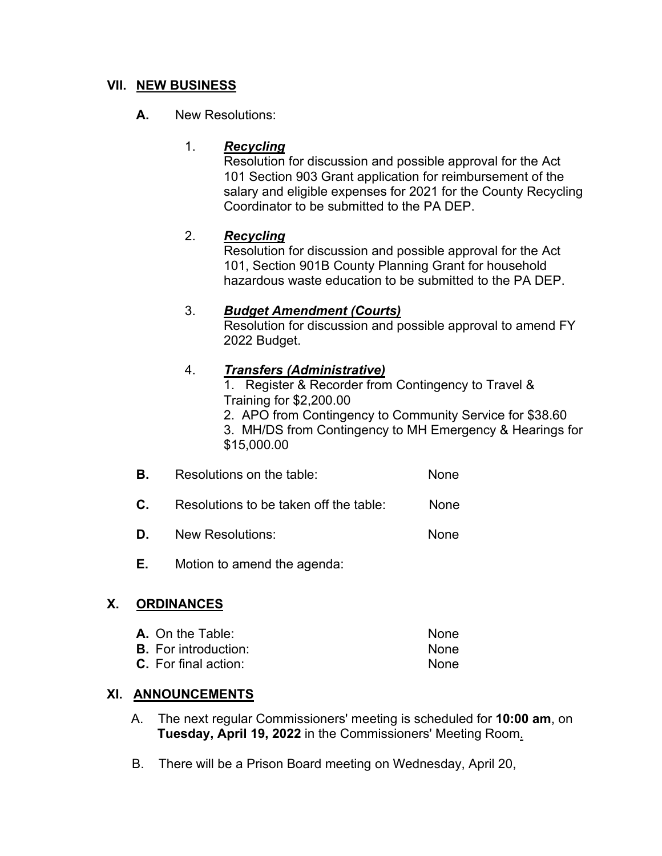## **VII. NEW BUSINESS**

## **A.** New Resolutions:

### 1. *Recycling*

Resolution for discussion and possible approval for the Act 101 Section 903 Grant application for reimbursement of the salary and eligible expenses for 2021 for the County Recycling Coordinator to be submitted to the PA DEP.

## 2. *Recycling*

Resolution for discussion and possible approval for the Act 101, Section 901B County Planning Grant for household hazardous waste education to be submitted to the PA DEP.

#### 3. *Budget Amendment (Courts)*

Resolution for discussion and possible approval to amend FY 2022 Budget.

## 4. *Transfers (Administrative)*

1. Register & Recorder from Contingency to Travel & Training for \$2,200.00

2. APO from Contingency to Community Service for \$38.60 3. MH/DS from Contingency to MH Emergency & Hearings for

\$15,000.00

- **B.** Resolutions on the table: None
- **C.** Resolutions to be taken off the table: None
- **D.** New Resolutions: None
- **E.** Motion to amend the agenda:

#### **X. ORDINANCES**

| <b>A.</b> On the Table:     | <b>None</b> |
|-----------------------------|-------------|
| <b>B.</b> For introduction: | <b>None</b> |
| <b>C.</b> For final action: | <b>None</b> |

#### **XI. ANNOUNCEMENTS**

- A. The next regular Commissioners' meeting is scheduled for **10:00 am**, on  **Tuesday, April 19, 2022** in the Commissioners' Meeting Room.
- B. There will be a Prison Board meeting on Wednesday, April 20,